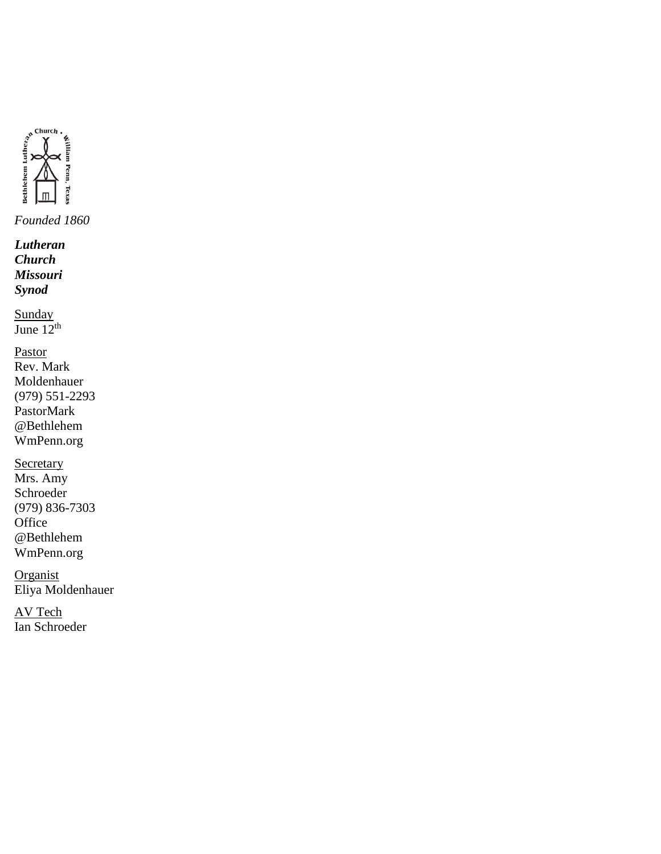

*Lutheran Church Missouri Synod*

**Sunday** June  $12<sup>th</sup>$ 

Pastor Rev. Mark Moldenhauer (979) 551-2293 PastorMark @Bethlehem WmPenn.org

**Secretary** Mrs. Amy Schroeder (979) 836-7303 **Office** @Bethlehem WmPenn.org

**Organist** Eliya Moldenhauer

AV Tech Ian Schroeder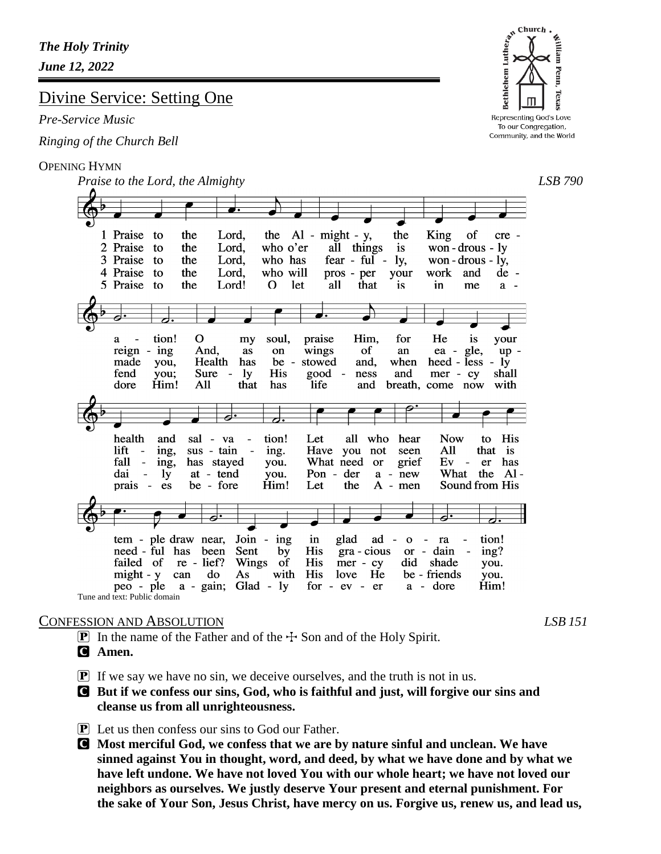# Divine Service: Setting One

### *Pre-Service Music*

*Ringing of the Church Bell*

### OPENING HYMN

*Praise to the Lord, the Almighty LSB 790* 1 Praise to the Lord, the  $Al - might - y$ , the King of cre -2 Praise to the Lord, who o'er all things is won-drous-ly 3 Praise to the who has won - drous -  $1y$ , Lord,  $fear - ful$ ly, your 4 Praise to the Lord, who will pros - per work and  $de -$ 5 Praise to the Lord! O let all that is in me  $a$ a  $\mathbf O$ my He tion! soul, praise Him, for is your a  $reign - ing$ And, on wings of gle, as an ea up made you, Health has be stowed and, when heed - less  $-1y$  $\overline{a}$ fend you; Sure **ly** His good  $\overline{\phantom{a}}$ ness and mer - cy shall  $\sim$ dore Him! All that has life and breath, come now with all who hear health and sal - va tion! Let **Now** to His  $\overline{\phantom{a}}$ lift ing, Have you not All that is sus - tain ing. seen  $\sim$  $\sim$ fall has stayed What need or  $Ev$  $er$ has ing, you. grief  $\overline{\phantom{a}}$ What the Aldai at - tend Pon der  $\ddot{\phantom{1}}$ ly you. a - new prais be - fore Him! Let the  $A - men$ Sound from His es ब्रं Join - ing tem - ple draw near, glad  $ad$ tion! in  $\mathbf O$  $\blacksquare$ ra been Sent need - ful has by His gra - cious ing? **or**  $\blacksquare$ dain failed of re - lief? Wings **His** - of mer - cy did shade you.  $might - y$ can do As with His love He be - friends you. a - gain; Glad - ly peo - ple  $for - ev - er$ a - dore Him! Tune and text: Public domain

### CONFESSION AND ABSOLUTION *LSB 151*

- **P** In the name of the Father and of the  $\pm$  Son and of the Holy Spirit.
- C **Amen.**
- $\boxed{\mathbf{P}}$  If we say we have no sin, we deceive ourselves, and the truth is not in us.
- C **But if we confess our sins, God, who is faithful and just, will forgive our sins and cleanse us from all unrighteousness.**
- $\boxed{\mathbf{P}}$  Let us then confess our sins to God our Father.
- C **Most merciful God, we confess that we are by nature sinful and unclean. We have sinned against You in thought, word, and deed, by what we have done and by what we have left undone. We have not loved You with our whole heart; we have not loved our neighbors as ourselves. We justly deserve Your present and eternal punishment. For the sake of Your Son, Jesus Christ, have mercy on us. Forgive us, renew us, and lead us,**

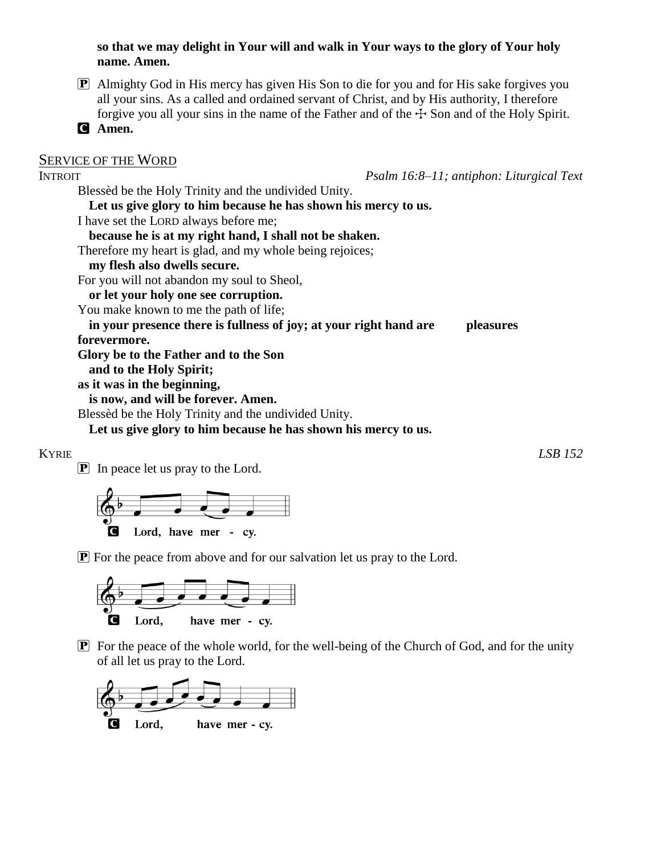**so that we may delight in Your will and walk in Your ways to the glory of Your holy name. Amen.**

P Almighty God in His mercy has given His Son to die for you and for His sake forgives you all your sins. As a called and ordained servant of Christ, and by His authority, I therefore forgive you all your sins in the name of the Father and of the  $\pm$  Son and of the Holy Spirit.

C **Amen.**

# SERVICE OF THE WORD INTROIT *Psalm 16:8–11; antiphon: Liturgical Text* Blessèd be the Holy Trinity and the undivided Unity. **Let us give glory to him because he has shown his mercy to us.** I have set the LORD always before me; **because he is at my right hand, I shall not be shaken.** Therefore my heart is glad, and my whole being rejoices; **my flesh also dwells secure.** For you will not abandon my soul to Sheol, **or let your holy one see corruption.** You make known to me the path of life; **in your presence there is fullness of joy; at your right hand are pleasures forevermore. Glory be to the Father and to the Son and to the Holy Spirit; as it was in the beginning, is now, and will be forever. Amen.** Blessèd be the Holy Trinity and the undivided Unity. **Let us give glory to him because he has shown his mercy to us.**

#### KYRIE *LSB 152*

 $\boxed{\mathbf{P}}$  In peace let us pray to the Lord.



 $\mathbf{P}$  For the peace from above and for our salvation let us pray to the Lord.



 $\boxed{\mathbf{P}}$  For the peace of the whole world, for the well-being of the Church of God, and for the unity of all let us pray to the Lord.

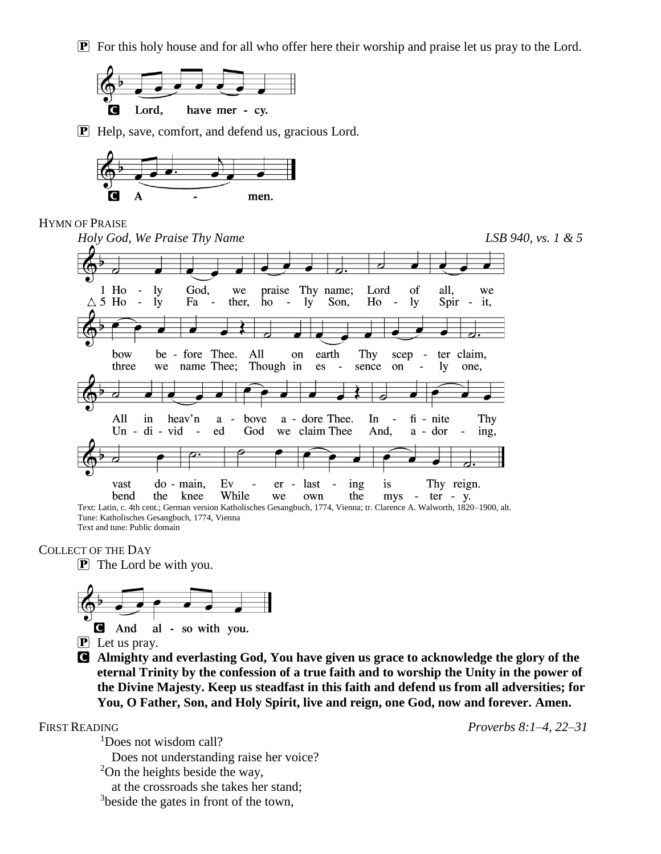$\mathbf{P}$  For this holy house and for all who offer here their worship and praise let us pray to the Lord.



P Help, save, comfort, and defend us, gracious Lord.



### HYMN OF PRAISE



Tune: Katholisches Gesangbuch, 1774, Vienna Text and tune: Public domain

#### COLLECT OF THE DAY





- P Let us pray.
- C **Almighty and everlasting God, You have given us grace to acknowledge the glory of the eternal Trinity by the confession of a true faith and to worship the Unity in the power of the Divine Majesty. Keep us steadfast in this faith and defend us from all adversities; for You, O Father, Son, and Holy Spirit, live and reign, one God, now and forever. Amen.**

FIRST READING *Proverbs 8:1–4, 22–31*

<sup>1</sup>Does not wisdom call? Does not understanding raise her voice?

<sup>2</sup>On the heights beside the way,

at the crossroads she takes her stand;

<sup>3</sup>beside the gates in front of the town,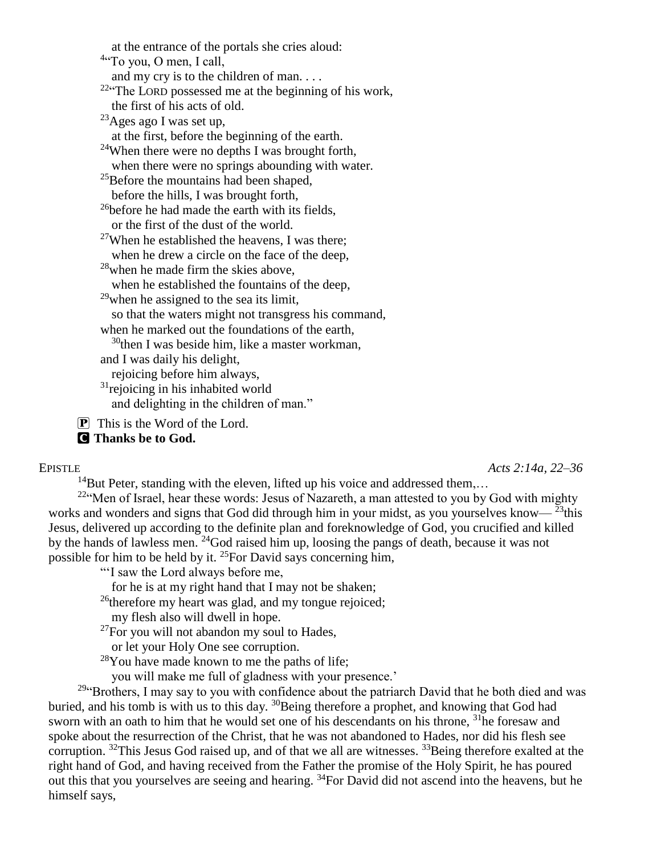at the entrance of the portals she cries aloud: <sup>4"</sup>To you, O men, I call, and my cry is to the children of man. . . . <sup>22</sup>"The LORD possessed me at the beginning of his work, the first of his acts of old.  $^{23}$ Ages ago I was set up, at the first, before the beginning of the earth. <sup>24</sup>When there were no depths I was brought forth, when there were no springs abounding with water. <sup>25</sup>Before the mountains had been shaped, before the hills, I was brought forth,  $^{26}$ before he had made the earth with its fields, or the first of the dust of the world.  $27$ When he established the heavens, I was there; when he drew a circle on the face of the deep, <sup>28</sup>when he made firm the skies above, when he established the fountains of the deep,  $29$ when he assigned to the sea its limit, so that the waters might not transgress his command, when he marked out the foundations of the earth,  $30$ then I was beside him, like a master workman, and I was daily his delight, rejoicing before him always,  $31$ rejoicing in his inhabited world and delighting in the children of man."

 $\boxed{\mathbf{P}}$  This is the Word of the Lord.

# C **Thanks be to God.**

EPISTLE *Acts 2:14a, 22–36*

<sup>14</sup>But Peter, standing with the eleven, lifted up his voice and addressed them,...

 $22$ "Men of Israel, hear these words: Jesus of Nazareth, a man attested to you by God with mighty works and wonders and signs that God did through him in your midst, as you yourselves know— $^{23}$ this Jesus, delivered up according to the definite plan and foreknowledge of God, you crucified and killed by the hands of lawless men. <sup>24</sup>God raised him up, loosing the pangs of death, because it was not possible for him to be held by it.  $^{25}$ For David says concerning him,

"'I saw the Lord always before me,

for he is at my right hand that I may not be shaken;

 $^{26}$ therefore my heart was glad, and my tongue rejoiced;

my flesh also will dwell in hope.

 $^{27}$ For you will not abandon my soul to Hades,

or let your Holy One see corruption.

<sup>28</sup>You have made known to me the paths of life;

you will make me full of gladness with your presence.'

<sup>29</sup>"Brothers, I may say to you with confidence about the patriarch David that he both died and was buried, and his tomb is with us to this day. <sup>30</sup>Being therefore a prophet, and knowing that God had sworn with an oath to him that he would set one of his descendants on his throne, <sup>31</sup>he foresaw and spoke about the resurrection of the Christ, that he was not abandoned to Hades, nor did his flesh see corruption. <sup>32</sup>This Jesus God raised up, and of that we all are witnesses. <sup>33</sup>Being therefore exalted at the right hand of God, and having received from the Father the promise of the Holy Spirit, he has poured out this that you yourselves are seeing and hearing. <sup>34</sup>For David did not ascend into the heavens, but he himself says,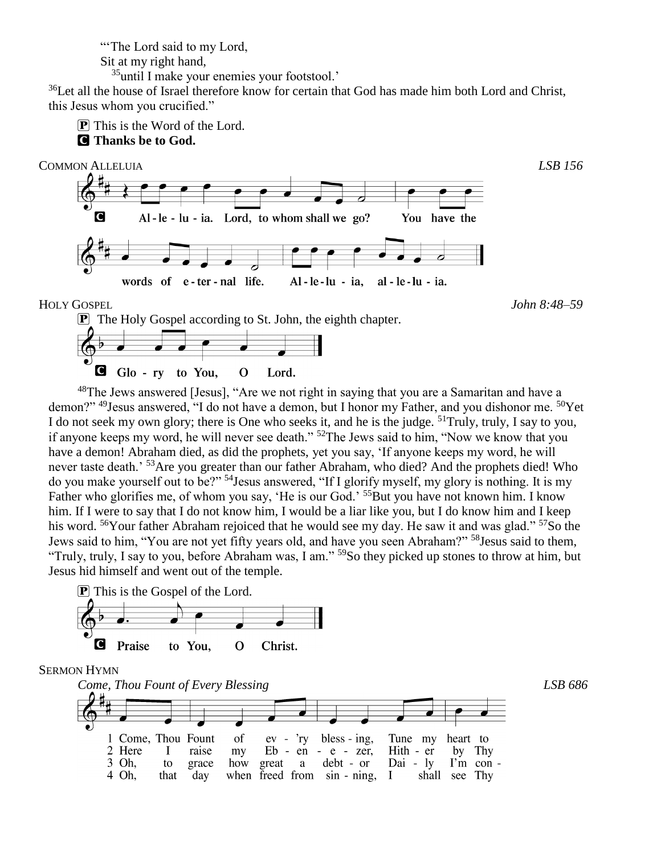"The Lord said to my Lord,

Sit at my right hand,

<sup>35</sup>until I make your enemies your footstool.'

<sup>36</sup>Let all the house of Israel therefore know for certain that God has made him both Lord and Christ, this Jesus whom you crucified."

P This is the Word of the Lord.

C **Thanks be to God.**



C Glo - ry to You,  $\mathbf{O}$ Lord.

<sup>48</sup>The Jews answered [Jesus], "Are we not right in saying that you are a Samaritan and have a demon?" <sup>49</sup>Jesus answered, "I do not have a demon, but I honor my Father, and you dishonor me. <sup>50</sup>Yet I do not seek my own glory; there is One who seeks it, and he is the judge. <sup>51</sup>Truly, truly, I say to you, if anyone keeps my word, he will never see death." <sup>52</sup>The Jews said to him, "Now we know that you have a demon! Abraham died, as did the prophets, yet you say, 'If anyone keeps my word, he will never taste death.<sup>' 53</sup>Are you greater than our father Abraham, who died? And the prophets died! Who do you make yourself out to be?" <sup>54</sup>Jesus answered, "If I glorify myself, my glory is nothing. It is my Father who glorifies me, of whom you say, 'He is our God.' <sup>55</sup>But you have not known him. I know him. If I were to say that I do not know him, I would be a liar like you, but I do know him and I keep his word. <sup>56</sup>Your father Abraham rejoiced that he would see my day. He saw it and was glad." <sup>57</sup>So the Jews said to him, "You are not yet fifty years old, and have you seen Abraham?" <sup>58</sup>Jesus said to them, "Truly, truly, I say to you, before Abraham was, I am." <sup>59</sup>So they picked up stones to throw at him, but Jesus hid himself and went out of the temple.



SERMON HYMN

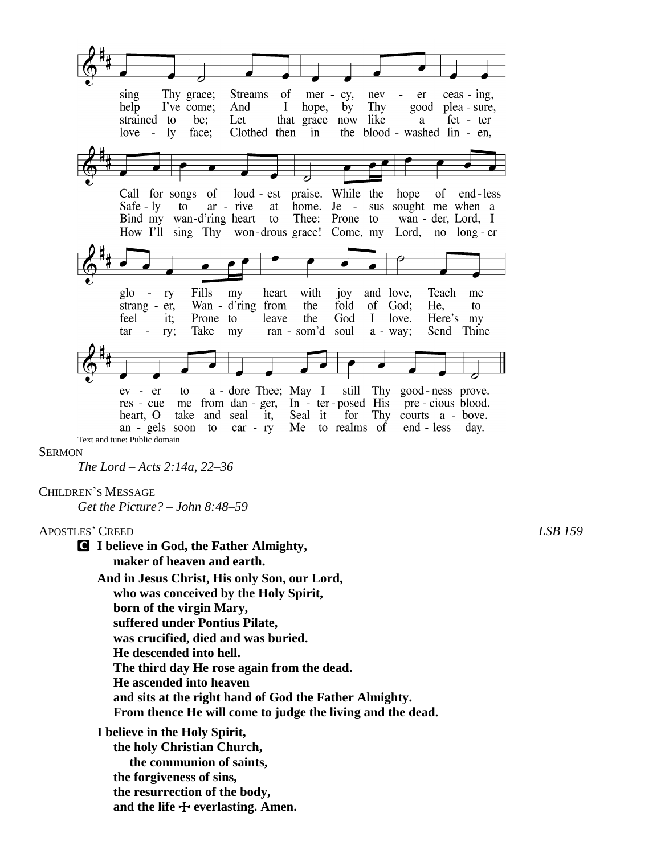

*The Lord – Acts 2:14a, 22–36*

#### CHILDREN'S MESSAGE

*Get the Picture? – John 8:48–59*

APOSTLES' CREED *LSB 159* C **I believe in God, the Father Almighty, maker of heaven and earth. And in Jesus Christ, His only Son, our Lord, who was conceived by the Holy Spirit, born of the virgin Mary, suffered under Pontius Pilate, was crucified, died and was buried. He descended into hell. The third day He rose again from the dead. He ascended into heaven and sits at the right hand of God the Father Almighty.**

 **From thence He will come to judge the living and the dead.**

**I believe in the Holy Spirit, the holy Christian Church, the communion of saints, the forgiveness of sins, the resurrection of the body,** and the life  $\bigoplus$  everlasting. Amen.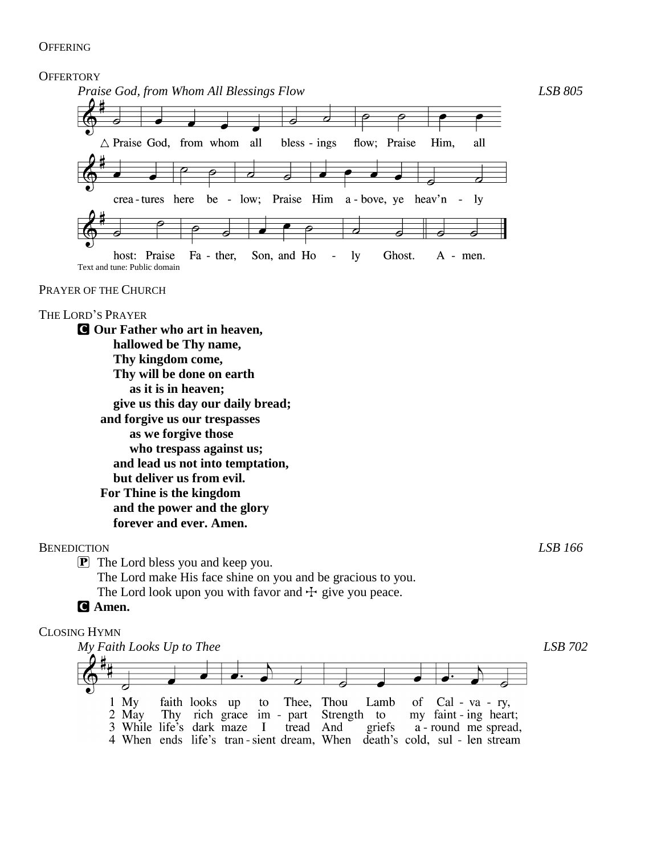### **OFFERING**

#### **OFFERTORY**



#### PRAYER OF THE CHURCH

# THE LORD'S PRAYER

C **Our Father who art in heaven, hallowed be Thy name, Thy kingdom come, Thy will be done on earth as it is in heaven; give us this day our daily bread; and forgive us our trespasses as we forgive those who trespass against us; and lead us not into temptation, but deliver us from evil. For Thine is the kingdom and the power and the glory forever and ever. Amen.**

## BENEDICTION *LSB 166*

P The Lord bless you and keep you.

The Lord make His face shine on you and be gracious to you.

The Lord look upon you with favor and  $\pm$  give you peace.

# C **Amen.**

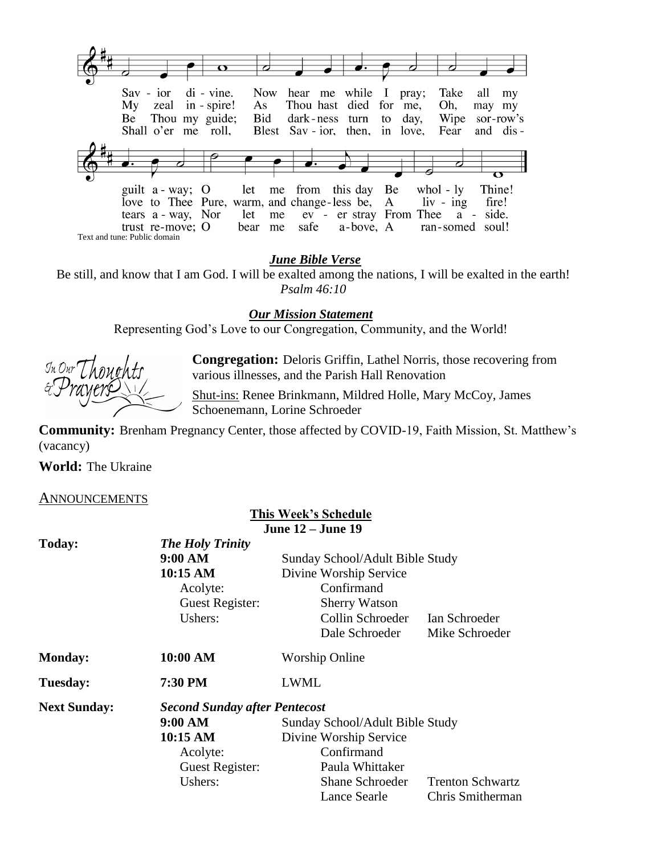

*June Bible Verse*

Be still, and know that I am God. I will be exalted among the nations, I will be exalted in the earth! *Psalm 46:10*

*Our Mission Statement*

Representing God's Love to our Congregation, Community, and the World!

 $\mathcal{I}_n$  Our  $\mathcal{T}$ 

**Congregation:** Deloris Griffin, Lathel Norris, those recovering from various illnesses, and the Parish Hall Renovation

Shut-ins: Renee Brinkmann, Mildred Holle, Mary McCoy, James Schoenemann, Lorine Schroeder

**Community:** Brenham Pregnancy Center, those affected by COVID-19, Faith Mission, St. Matthew's (vacancy)

**World:** The Ukraine

#### ANNOUNCEMENTS

|                     |                                      | <b>This Week's Schedule</b>     |                         |
|---------------------|--------------------------------------|---------------------------------|-------------------------|
|                     | <b>June 12 – June 19</b>             |                                 |                         |
| Today:              | <b>The Holy Trinity</b>              |                                 |                         |
|                     | 9:00 AM                              | Sunday School/Adult Bible Study |                         |
|                     | 10:15 AM                             | Divine Worship Service          |                         |
|                     | Acolyte:                             | Confirmand                      |                         |
|                     | Guest Register:                      | <b>Sherry Watson</b>            |                         |
|                     | Ushers:                              | Collin Schroeder                | Ian Schroeder           |
|                     |                                      | Dale Schroeder                  | Mike Schroeder          |
| <b>Monday:</b>      | 10:00 AM                             | <b>Worship Online</b>           |                         |
| <b>Tuesday:</b>     | 7:30 PM                              | <b>LWML</b>                     |                         |
| <b>Next Sunday:</b> | <b>Second Sunday after Pentecost</b> |                                 |                         |
|                     | 9:00 AM                              | Sunday School/Adult Bible Study |                         |
|                     | 10:15 AM                             | Divine Worship Service          |                         |
|                     | Acolyte:                             | Confirmand                      |                         |
|                     | Guest Register:                      | Paula Whittaker                 |                         |
|                     | Ushers:                              | <b>Shane Schroeder</b>          | <b>Trenton Schwartz</b> |
|                     |                                      | Lance Searle                    | Chris Smitherman        |